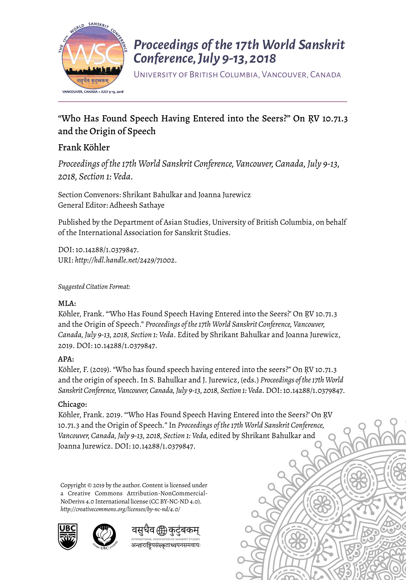

## *Proceedings of the 17th World Sanskrit Conference, July 9-13, 2018*

University of British Columbia, Vancouver, Canada

## "Who Has Found Speech Having Entered into the Seers?" On ṚV 10.71.3 and the Origin of Speech

#### Frank Köhler

*Proceedings of the 17th World Sanskrit Conference, Vancouver, Canada, July 9-13, 2018, Section 1: Veda.* 

Section Convenors: Shrikant Bahulkar and Joanna Jurewicz General Editor: Adheesh Sathaye

Published by the Department of Asian Studies, University of British Columbia, on behalf of the International Association for Sanskrit Studies.

DOI: 10.14288/1.0379847. URI: *<http://hdl.handle.net/2429/71002>*.

*Suggested Citation Format:* 

#### MLA:

Köhler, Frank. "'Who Has Found Speech Having Entered into the Seers?' On ṚV 10.71.3 and the Origin of Speech." *Proceedings of the 17th World Sanskrit Conference, Vancouver, Canada, July 9-13, 2018, Section 1: Veda*. Edited by Shrikant Bahulkar and Joanna Jurewicz, 2019. DOI: 10.14288/1.0379847.

#### APA:

Köhler, F. (2019). "Who has found speech having entered into the seers?" On ṚV 10.71.3 and the origin of speech. In S. Bahulkar and J. Jurewicz, (eds.) *Proceedings of the 17th World Sanskrit Conference, Vancouver, Canada, July 9-13, 2018, Section 1: Veda*. DOI: 10.14288/1.0379847.

#### Chicago:

Köhler, Frank. 2019. "'Who Has Found Speech Having Entered into the Seers?' On ṚV 10.71.3 and the Origin of Speech*.*" In *Proceedings of the 17th World Sanskrit Conference, Vancouver, Canada, July 9-13, 2018, Section 1: Veda,* edited by Shrikant Bahulkar and Joanna Jurewicz. DOI: 10.14288/1.0379847.

Copyright © 2019 by the author. Content is licensed under a Creative Commons Attribution-NonCommercial-NoDerivs 4.0 International license (CC BY-NC-ND 4.0). *http://creativecommons.org/licenses/by-nc-nd/4.0/*





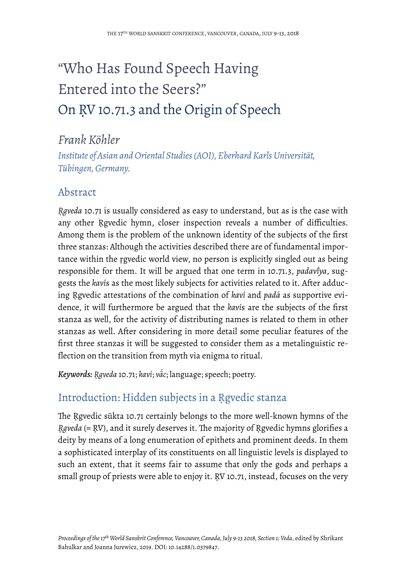# "Who Has Found Speech Having Entered into the Seers?" On ṚV 10.71.3 and the Origin of Speech

## *Frank Köhler*

*Institute of Asian and Oriental Studies (AOI), Eberhard Karls Universität, Tübingen, Germany.*

#### Abstract

*Ṛgveda* 10.71 is usually considered as easy to understand, but as is the case with any other Rgvedic hymn, closer inspection reveals a number of difficulties. Among them is the problem of the unknown identity of the subjects of the first three stanzas: Although the activities described there are of fundamental importance within the ṛgvedic world view, no person is explicitly singled out as being responsible for them. It will be argued that one term in 10.71.3, *padaviva*, suggests the *kaví*s as the most likely subjects for activities related to it. After adducing Ṛgvedic attestations of the combination of *kaví* and *padá* as supportive evidence, it will furthermore be argued that the *kaví*s are the subjects of the first stanza as well, for the activity of distributing names is related to them in other stanzas as well. After considering in more detail some peculiar features of the first three stanzas it will be suggested to consider them as a metalinguistic reflection on the transition from myth via enigma to ritual.

*Keywords: Ṛgveda* 10.71; *kaví*; *vā́ c*; language; speech; poetry.

## Introduction: Hidden subjects in a Ṛgvedic stanza

The Rgvedic sūkta 10.71 certainly belongs to the more well-known hymns of the *Rgveda* (= RV), and it surely deserves it. The majority of Rgvedic hymns glorifies a deity by means of a long enumeration of epithets and prominent deeds. In them a sophisticated interplay of its constituents on all linguistic levels is displayed to such an extent, that it seems fair to assume that only the gods and perhaps a small group of priests were able to enjoy it. RV 10.71, instead, focuses on the very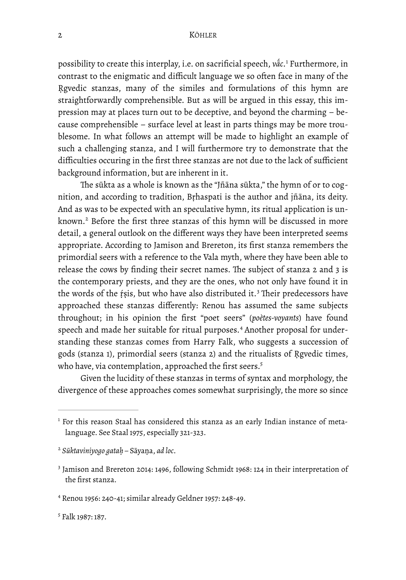<span id="page-2-5"></span>possibility to create this interplay, i.e. on sacrificial speech, *vā́ c*. Furthermore, in [1](#page-2-0) contrast to the enigmatic and difficult language we so often face in many of the Revedic stanzas, many of the similes and formulations of this hymn are straightforwardly comprehensible. But as will be argued in this essay, this impression may at places turn out to be deceptive, and beyond the charming – because comprehensible – surface level at least in parts things may be more troublesome. In what follows an attempt will be made to highlight an example of such a challenging stanza, and I will furthermore try to demonstrate that the difficulties occuring in the first three stanzas are not due to the lack of sufficient background information, but are inherent in it.

<span id="page-2-6"></span>The sūkta as a whole is known as the "Jñāna sūkta," the hymn of or to cognition, and according to tradition, Bṛhaspati is the author and jñāna, its deity. And as was to be expected with an speculative hymn, its ritual application is un-known.<sup>[2](#page-2-1)</sup> Before the first three stanzas of this hymn will be discussed in more detail, a general outlook on the different ways they have been interpreted seems appropriate. According to Jamison and Brereton, its first stanza remembers the primordial seers with a reference to the Vala myth, where they have been able to release the cows by finding their secret names. The subject of stanza 2 and 3 is the contemporary priests, and they are the ones, who not only have found it in the words of the *fsis*, but who have also distributed it.<sup>[3](#page-2-2)</sup> Their predecessors have approached these stanzas differently: Renou has assumed the same subjects throughout; in his opinion the first "poet seers" (*poètes-voyants*) have found speechand made her suitable for ritual purposes.<sup>4</sup> Another proposal for understanding these stanzas comes from Harry Falk, who suggests a succession of gods (stanza 1), primordial seers (stanza 2) and the ritualists of Ṛgvedic times, who have, via contemplation, approached the first seers[.](#page-2-4)<sup>[5](#page-2-4)</sup>

<span id="page-2-9"></span><span id="page-2-8"></span><span id="page-2-7"></span>Given the lucidity of these stanzas in terms of syntax and morphology, the divergence of these approaches comes somewhat surprisingly, the more so since

<span id="page-2-0"></span> $1$  For this reason Staal has considered this stanza as an early Indian instance of metalanguage. See Staal 1975, especially 321-323.

<span id="page-2-1"></span>*Sūktaviniyogo gataḥ –* Sāyaṇa, *ad loc*. [2](#page-2-6)

<span id="page-2-2"></span><sup>&</sup>lt;sup>3</sup>Jamison and Brereton 2014: 1496, following Schmidt 1968: 124 in their interpretation of the first stanza.

<span id="page-2-3"></span>Renou 1956: 240-41; similar already Geldner 1957: 248-49. [4](#page-2-8)

<span id="page-2-4"></span><sup>&</sup>lt;sup>[5](#page-2-9)</sup> Falk 1987: 187.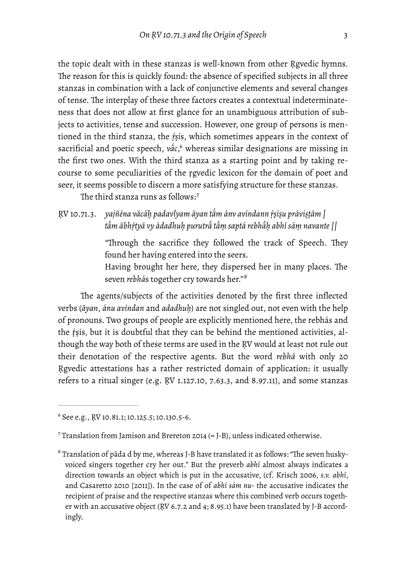the topic dealt with in these stanzas is well-known from other Ṛgvedic hymns. The reason for this is quickly found: the absence of specified subjects in all three stanzas in combination with a lack of conjunctive elements and several changes of tense. The interplay of these three factors creates a contextual indeterminateness that does not allow at first glance for an unambiguous attribution of subjects to activities, tense and succession. However, one group of persons is mentioned in the third stanza, the *ṛ́ṣi*s, which sometimes appears in the context of sacrificial and poetic speech[,](#page-3-0) v $\tilde{a}c$ ,<sup>[6](#page-3-0)</sup> whereas similar designations are missing in the first two ones. With the third stanza as a starting point and by taking recourse to some peculiarities of the ṛgvedic lexicon for the domain of poet and seer, it seems possible to discern a more satisfying structure for these stanzas.

<span id="page-3-3"></span>The third stanza runs as follows:<sup>7</sup>

ṚV 10.71.3. *yajñéna vācáḥ padavıyam ̄ āyan tā́ m ánv avindann ṛ́ṣiṣu práviṣṭām | tā́ m ābhṛ́tyā vy àdadhuḥ purutrā́ tā́ ṃ saptá rebhā́ ḥ abhí sáṃ navante ||*

> <span id="page-3-4"></span>"Through the sacrifice they followed the track of Speech. They found her having entered into the seers.

> <span id="page-3-5"></span>Having brought her here, they dispersed her in many places. The seven *rebhá*s together cry towards her." [8](#page-3-2)

The agents/subjects of the activities denoted by the first three inflected verbs (*āyan*, *ánu avindan* and *adadhuḥ*) are not singled out, not even with the help of pronouns. Two groups of people are explicitly mentioned here, the rebhás and the ṛ́ṣis, but it is doubtful that they can be behind the mentioned activities, although the way both of these terms are used in the ṚV would at least not rule out their denotation of the respective agents. But the word *rebhá* with only 20 Ṛgvedic attestations has a rather restricted domain of application: it usually refers to a ritual singer (e.g. ṚV 1.127.10, 7.63.3, and 8.97.11), and some stanzas

<span id="page-3-0"></span> $6$  See e.g., RV 10.81.1; 10.125.5; 10.130.5-6.

<span id="page-3-1"></span><sup>&</sup>lt;sup>[7](#page-3-4)</sup> Translation from Jamison and Brereton 2014 (= J-B), unless indicated otherwise.

<span id="page-3-2"></span> $^8$  $^8$  Translation of pāda d by me, whereas J-B have translated it as follows: "The seven huskyvoiced singers together cry her out." But the preverb *abhí* almost always indicates a direction towards an object which is put in the accusative, (cf. Krisch 2006, *s.v. abhí*, and Casaretto 2010 [2011]). In the case of of *abhí sám nu*- the accusative indicates the recipient of praise and the respective stanzas where this combined verb occurs together with an accusative object (ṚV 6.7.2 and 4; 8.95.1) have been translated by J-B accordingly.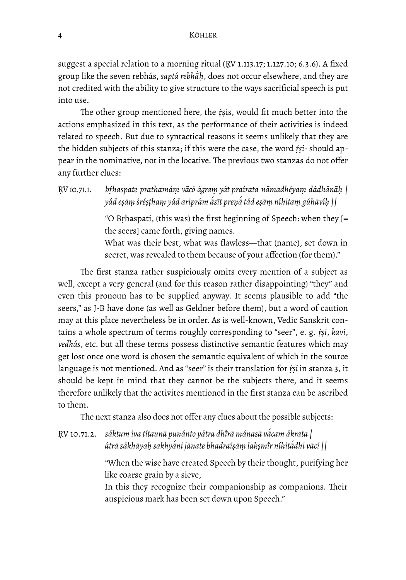suggest a special relation to a morning ritual (ṚV 1.113.17; 1.127.10; 6.3.6). A fixed group like the seven rebhás, *saptá rebhā́ ḥ*, does not occur elsewhere, and they are not credited with the ability to give structure to the ways sacrificial speech is put into use.

The other group mentioned here, the rsis, would fit much better into the actions emphasized in this text, as the performance of their activities is indeed related to speech. But due to syntactical reasons it seems unlikely that they are the hidden subjects of this stanza; if this were the case, the word *ṛ́ṣi-* should appear in the nominative, not in the locative. The previous two stanzas do not offer any further clues:

ṚV 10.71.1. *bṛ́haspate prathamáṃ vācó ágraṃ yát praírata nāmadhéyaṃ dádhānāḥ |* yád eşāṃ śréṣṭhaṃ yád ariprám ā́sīt preṇā́ tád eṣāṃ níhitaṃ gúhāvíḥ ||

> "O Bṛhaspati, (this was) the first beginning of Speech: when they [= the seers] came forth, giving names.

> What was their best, what was flawless—that (name), set down in secret, was revealed to them because of your affection (for them)."

The first stanza rather suspiciously omits every mention of a subject as well, except a very general (and for this reason rather disappointing) "they" and even this pronoun has to be supplied anyway. It seems plausible to add "the seers," as J-B have done (as well as Geldner before them), but a word of caution may at this place nevertheless be in order. As is well-known, Vedic Sanskrit contains a whole spectrum of terms roughly corresponding to "seer", e. g. *ṛ́ṣi*, *kaví*, *vedhás*, etc. but all these terms possess distinctive semantic features which may get lost once one word is chosen the semantic equivalent of which in the source language is not mentioned. And as "seer" is their translation for *ṛ́ṣi* in stanza 3, it should be kept in mind that they cannot be the subjects there, and it seems therefore unlikely that the activites mentioned in the first stanza can be ascribed to them.

The next stanza also does not offer any clues about the possible subjects:

ṚV 10.71.2. *sáktum iva títaunā punánto yátra dhı̄ rā mánasā vā́ cam ákrata | átrā sákhāyaḥ sakhyā́ ni jānate bhadraíṣāṃ lakṣmı̄ r níhitā́ dhi vācí ||*

> "When the wise have created Speech by their thought, purifying her like coarse grain by a sieve,

> In this they recognize their companionship as companions. Their auspicious mark has been set down upon Speech."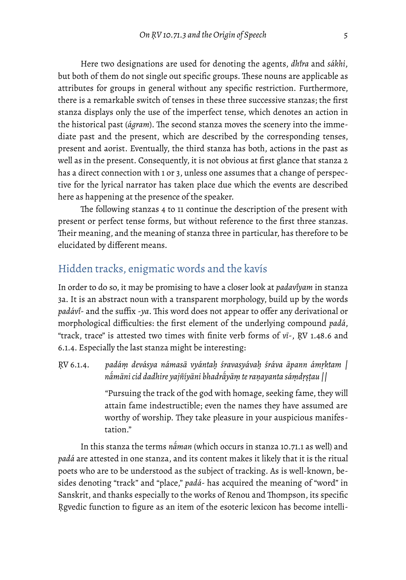Here two designations are used for denoting the agents, *dhı̄ ra* and *sákhi*, but both of them do not single out specific groups. These nouns are applicable as attributes for groups in general without any specific restriction. Furthermore, there is a remarkable switch of tenses in these three successive stanzas; the first stanza displays only the use of the imperfect tense, which denotes an action in the historical past (*ágram*). The second stanza moves the scenery into the immediate past and the present, which are described by the corresponding tenses, present and aorist. Eventually, the third stanza has both, actions in the past as well as in the present. Consequently, it is not obvious at first glance that stanza 2 has a direct connection with 1 or 3, unless one assumes that a change of perspective for the lyrical narrator has taken place due which the events are described here as happening at the presence of the speaker.

The following stanzas 4 to 11 continue the description of the present with present or perfect tense forms, but without reference to the first three stanzas. Their meaning, and the meaning of stanza three in particular, has therefore to be elucidated by different means.

## Hidden tracks, enigmatic words and the kavís

In order to do so, it may be promising to have a closer look at *padaviyam* in stanza 3a. It is an abstract noun with a transparent morphology, build up by the words p*adávi*- and the suffix -*ya*. This word does not appear to offer any derivational or morphological difficulties: the first element of the underlying compound *padá*, "track, trace" is attested two times with finite verb forms of *vī*-, ṚV 1.48.6 and 6.1.4. Especially the last stanza might be interesting:

ṚV 6.1.4. *padáṃ devásya námasā vyántaḥ śravasyávaḥ śráva āpann ámṛktam | nā́ māni cid dadhire yajñíyāni bhadrā́ yāṃ te raṇayanta sáṃdṛṣṭau ||*

> "Pursuing the track of the god with homage, seeking fame, they will attain fame indestructible; even the names they have assumed are worthy of worship. They take pleasure in your auspicious manifestation."

In this stanza the terms *nā́ man* (which occurs in stanza 10.71.1 as well) and *padá* are attested in one stanza, and its content makes it likely that it is the ritual poets who are to be understood as the subject of tracking. As is well-known, besides denoting "track" and "place," *padá*- has acquired the meaning of "word" in Sanskrit, and thanks especially to the works of Renou and Thompson, its specific Rgvedic function to figure as an item of the esoteric lexicon has become intelli-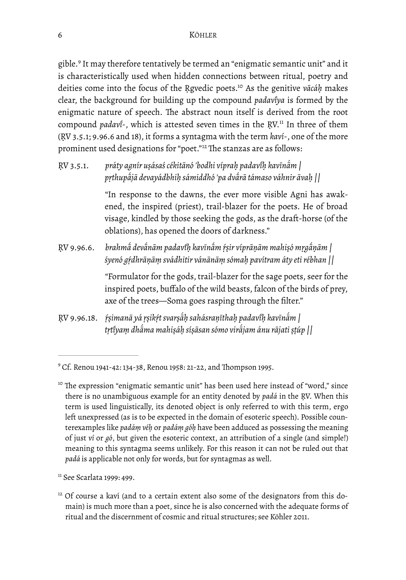<span id="page-6-4"></span>gible.<sup>[9](#page-6-0)</sup> It may therefore tentatively be termed an "enigmatic semantic unit" and it is characteristically used when hidden connections between ritual, poetry and deities come into the focus of the Rgvedic poets.<sup>[10](#page-6-1)</sup> As the genitive *vācáh* makes clear, the background for building up the compound *padavıyā* is formed by the enigmatic nature of speech. The abstract noun itself is derived from the root compound*padavi*-, which is attested seven times in the RV.<sup>[11](#page-6-2)</sup> In three of them (ṚV 3.5.1; 9.96.6 and 18), it forms a syntagma with the term *kaví*-, one of the more prominent used designations for "poet."<sup>[12](#page-6-3)</sup> The stanzas are as follows:

ṚV 3.5.1. *práty agnír uṣásaś cékitānó 'bodhi vípraḥ padavıḥ̄ kavīnā́ m | pṛthupā́ jā devayádbhiḥ sámiddhó 'pa dvā́ rā támaso váhnir āvaḥ ||*

> <span id="page-6-7"></span><span id="page-6-6"></span><span id="page-6-5"></span>"In response to the dawns, the ever more visible Agni has awakened, the inspired (priest), trail-blazer for the poets. He of broad visage, kindled by those seeking the gods, as the draft-horse (of the oblations), has opened the doors of darkness."

ṚV 9.96.6. *brahmā́ devā́ nām padavıḥ̄ kavīnā́ m ṛ́ṣir víprāṇām mahiṣó mṛgā́ ṇām | śyenó gṛ́dhrāṇāṃ svádhitir vánānāṃ sómaḥ pavítram áty eti rébhan ||*

> "Formulator for the gods, trail-blazer for the sage poets, seer for the inspired poets, buffalo of the wild beasts, falcon of the birds of prey, axe of the trees—Soma goes rasping through the filter."

ṚV 9.96.18. *ṛ́ṣimanā yá ṛṣikṛ́t svarṣā́ ḥ sahásraṇīthaḥ padavıḥ̄ kavīnā́ m | tṛtıyā ṃ dhā́ ma mahiṣáḥ síṣāsan sómo virā́ jam ánu rājati ṣṭúp ||*

<span id="page-6-0"></span><sup>&</sup>lt;sup>[9](#page-6-4)</sup> Cf. Renou 1941-42: 134-38, Renou 1958: 21-22, and Thompson 1995.

<span id="page-6-1"></span> $10$  The expression "enigmatic semantic unit" has been used here instead of "word," since there is no unambiguous example for an entity denoted by *padá* in the ṚV. When this term is used linguistically, its denoted object is only referred to with this term, ergo left unexpressed (as is to be expected in the domain of esoteric speech). Possible counterexamples like *padáṃ véḥ* or *padáṃ góḥ* have been adduced as possessing the meaning of just *ví* or *gó*, but given the esoteric context, an attribution of a single (and simple!) meaning to this syntagma seems unlikely. For this reason it can not be ruled out that *padá* is applicable not only for words, but for syntagmas as well.

<span id="page-6-2"></span><sup>&</sup>lt;sup>[11](#page-6-6)</sup> See Scarlata 1999: 499.

<span id="page-6-3"></span> $12$  Of course a kaví (and to a certain extent also some of the designators from this domain) is much more than a poet, since he is also concerned with the adequate forms of ritual and the discernment of cosmic and ritual structures; see Köhler 2011.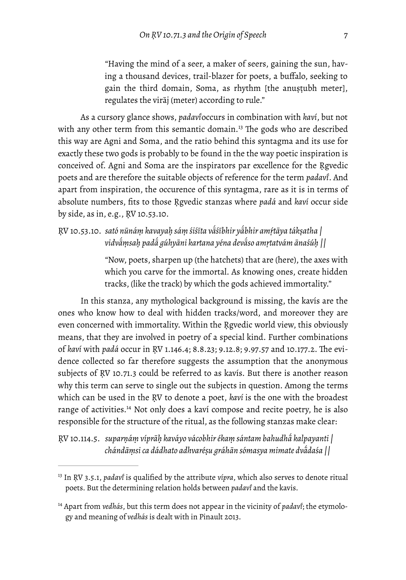<span id="page-7-2"></span>"Having the mind of a seer, a maker of seers, gaining the sun, having a thousand devices, trail-blazer for poets, a buffalo, seeking to gain the third domain, Soma, as rhythm [the anustubh meter], regulates the virāj (meter) according to rule."

As a cursory glance shows, *padavı̄* occurs in combination with *kaví*, but not with any other term from this semantic domain.<sup>[13](#page-7-0)</sup> The gods who are described this way are Agni and Soma, and the ratio behind this syntagma and its use for exactly these two gods is probably to be found in the the way poetic inspiration is conceived of. Agni and Soma are the inspirators par excellence for the Rgvedic poets and are therefore the suitable objects of reference for the term *padavı̄* . And apart from inspiration, the occurence of this syntagma, rare as it is in terms of absolute numbers, fits to those Ṛgvedic stanzas where *padá* and *kaví* occur side by side, as in, e.g., ṚV 10.53.10.

ŖV 10.53.10. sató nūnáṃ kavayaḥ sáṃ śiśīta vā́śībhir yā́bhir amṛ́tāya tákṣatha | *vidvā́ ṃsaḥ padā́ gúhyāni kartana yéna devā́ so amṛtatvám ānaśúḥ ||*

> "Now, poets, sharpen up (the hatchets) that are (here), the axes with which you carve for the immortal. As knowing ones, create hidden tracks, (like the track) by which the gods achieved immortality."

In this stanza, any mythological background is missing, the kavís are the ones who know how to deal with hidden tracks/word, and moreover they are even concerned with immortality. Within the Ṛgvedic world view, this obviously means, that they are involved in poetry of a special kind. Further combinations of *kaví* with *padá* occur in ṚV 1.146.4; 8.8.23; 9.12.8; 9.97.57 and 10.177.2. Te evidence collected so far therefore suggests the assumption that the anonymous subjects of RV 10.71.3 could be referred to as kavís. But there is another reason why this term can serve to single out the subjects in question. Among the terms which can be used in the ṚV to denote a poet, *kaví* is the one with the broadest range of activities.<sup>[14](#page-7-1)</sup> Not only does a kaví compose and recite poetry, he is also responsible for the structure of the ritual, as the following stanzas make clear:

<span id="page-7-3"></span>ṚV 10.114.5. *suparṇáṃ víprāḥ kaváyo vácobhir ékaṃ sántam bahudhā́ kalpayanti | chándāṃsi ca dádhato adhvaréṣu gráhān sómasya mimate dvā́ daśa ||*

<span id="page-7-0"></span><sup>&</sup>lt;sup>[13](#page-7-2)</sup> In RV 3.5.1, *padavi* is qualified by the attribute *vípra*, which also serves to denote ritual poets. But the determining relation holds between *padavı̄* and the kavis.

<span id="page-7-1"></span><sup>&</sup>lt;sup>[14](#page-7-3)</sup> Apart from *vedhás*, but this term does not appear in the vicinity of *padav*i̇́; the etymology and meaning of *vedhás* is dealt with in Pinault 2013.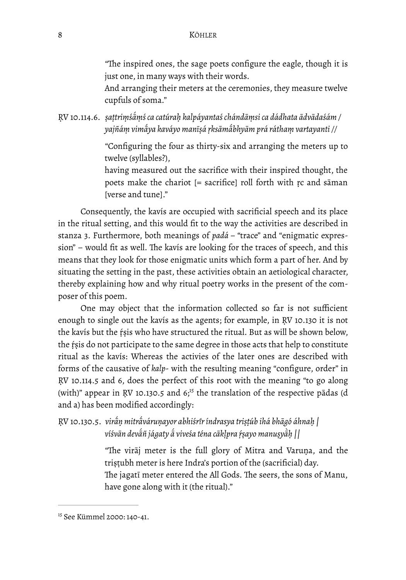"The inspired ones, the sage poets configure the eagle, though it is just one, in many ways with their words.

And arranging their meters at the ceremonies, they measure twelve cupfuls of soma."

ṚV 10.114.6. *ṣaṭtriṃśā́ ṃś ca catúraḥ kalpáyantaś chándāṃsi ca dádhata ādvādaśám / yajñáṃ vimā́ ya kaváyo manīṣá ṛksāmā́ bhyām prá ráthaṃ vartayanti //*

> "Configuring the four as thirty-six and arranging the meters up to twelve (syllables?),

> having measured out the sacrifice with their inspired thought, the poets make the chariot [= sacrifice] roll forth with ṛc and sāman [verse and tune]."

Consequently, the kavís are occupied with sacrificial speech and its place in the ritual setting, and this would fit to the way the activities are described in stanza 3. Furthermore, both meanings of *padá – "*trace" and "enigmatic expression" – would fit as well. The kavís are looking for the traces of speech, and this means that they look for those enigmatic units which form a part of her. And by situating the setting in the past, these activities obtain an aetiological character, thereby explaining how and why ritual poetry works in the present of the composer of this poem.

One may object that the information collected so far is not sufficient enough to single out the kavís as the agents; for example, in ṚV 10.130 it is not the kavís but the ṛ́ṣis who have structured the ritual. But as will be shown below, the rsis do not participate to the same degree in those acts that help to constitute ritual as the kavís: Whereas the activies of the later ones are described with forms of the causative of *kalp*- with the resulting meaning "configure, order" in ṚV 10.114.5 and 6, does the perfect of this root with the meaning "to go along (with)" appear in RV 10.130.5 and  $6<sub>15</sub>$  $6<sub>15</sub>$  $6<sub>15</sub>$  the translation of the respective pādas (d and a) has been modified accordingly:

ṚV 10.130.5. *virā́ ṇ mitrā́ váruṇayor abhiśrır índrasya tri ̄ ṣṭúb ihá bhāgó áhnaḥ | víśvān devā́ ñ jágaty ā́ viveśa téna cākḷpra ṛ́ṣayo manuṣyāḥ̀ ||*

> <span id="page-8-1"></span>"The virāj meter is the full glory of Mitra and Varuṇa, and the triṣṭubh meter is here Indra's portion of the (sacrificial) day. The jagati meter entered the All Gods. The seers, the sons of Manu, have gone along with it (the ritual)."

<span id="page-8-0"></span><sup>&</sup>lt;sup>[15](#page-8-1)</sup> See Kümmel 2000: 140-41.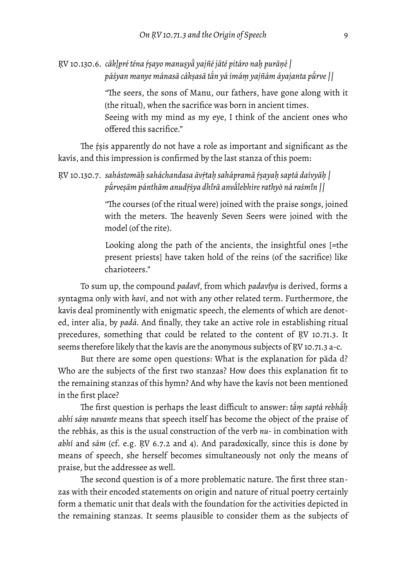```
ṚV 10.130.6. cākḷpré téna ṛ́ṣayo manuṣyā̀
 yajñé jāté pitáro naḥ purāṇé |
              páśyan manye mánasā cákṣasā tā́
n yá imáṃ yajñám áyajanta pū́
rve ||
```
"The seers, the sons of Manu, our fathers, have gone along with it (the ritual), when the sacrifice was born in ancient times. Seeing with my mind as my eye, I think of the ancient ones who offered this sacrifice."

The rsis apparently do not have a role as important and significant as the kavís, and this impression is confirmed by the last stanza of this poem:

ṚV 10.130.7. *sahástomāḥ saháchandasa āvṛ́taḥ sahápramā ṛ́ṣayaḥ saptá daívyāḥ | pū́ rveṣām pánthām anudṛ́śya dhı̄ rā anvā́ lebhire rathyò ná raśmın || ̄*

> "The courses (of the ritual were) joined with the praise songs, joined with the meters. The heavenly Seven Seers were joined with the model (of the rite).

> Looking along the path of the ancients, the insightful ones [=the present priests] have taken hold of the reins (of the sacrifice) like charioteers."

To sum up, the compound *padavı̄* , from which *padavıyā* is derived, forms a syntagma only with *kaví*, and not with any other related term. Furthermore, the kavís deal prominently with enigmatic speech, the elements of which are denoted, inter alia, by *padá.* And finally, they take an active role in establishing ritual precedures, something that could be related to the content of ṚV 10.71.3. It seems therefore likely that the kavís are the anonymous subjects of ṚV 10.71.3 a-c.

But there are some open questions: What is the explanation for pāda d? Who are the subjects of the first two stanzas? How does this explanation fit to the remaining stanzas of this hymn? And why have the kavís not been mentioned in the first place?

 $\tau$ he first question is perhaps the least difficult to answer: t*ām saptá rebhā́ḥ abhí sáṃ navante* means that speech itself has become the object of the praise of the rebhás, as this is the usual construction of the verb *nu*- in combination with *abhí* and *sám* (cf. e.g. ṚV 6.7.2 and 4). And paradoxically, since this is done by means of speech, she herself becomes simultaneously not only the means of praise, but the addressee as well.

The second question is of a more problematic nature. The first three stanzas with their encoded statements on origin and nature of ritual poetry certainly form a thematic unit that deals with the foundation for the activities depicted in the remaining stanzas. It seems plausible to consider them as the subjects of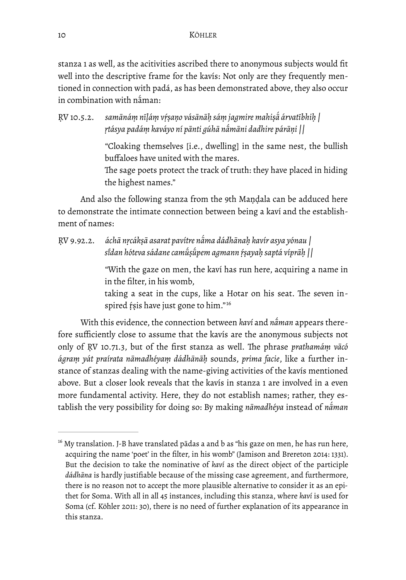stanza 1 as well, as the acitivities ascribed there to anonymous subjects would fit well into the descriptive frame for the kavís: Not only are they frequently mentioned in connection with padá, as has been demonstrated above, they also occur in combination with nā́ man:

RV 10.5.2. samānáṃ nīḷáṃ vṛṣaṇo vásānāḥ sáṃ jagmire mahiṣā́ árvatībhiḥ | *ṛtásya padáṃ kaváyo ní pānti gúhā nā́ māni dadhire párāṇi ||*

> "Cloaking themselves [i.e., dwelling] in the same nest, the bullish buffaloes have united with the mares.

> The sage poets protect the track of truth: they have placed in hiding the highest names."

And also the following stanza from the 9th Maṇḍala can be adduced here to demonstrate the intimate connection between being a kaví and the establishment of names:

ṚV 9.92.2. *áchā nṛcákṣā asarat pavítre nā́ ma dádhānaḥ kavír asya yónau | sıdan hóteva sádane cam ̄ ū́ ṣū́ pem agmann ṛ́ṣayaḥ saptá víprāḥ ||* 

> "With the gaze on men, the kaví has run here, acquiring a name in in the filter, in his womb,

> <span id="page-10-1"></span>taking a seat in the cups, like a Hotar on his seat. The seven inspired ŕṣis have just gone to him."<sup>16</sup>

With this evidence, the connection between *kaví* and *nā́ man* appears therefore sufficiently close to assume that the kavís are the anonymous subjects not only of RV 10.71.3, but of the first stanza as well. The phrase *prathamám vācó ágraṃ yát praírata nāmadhéyaṃ dádhānāḥ* sounds, *prima facie*, like a further instance of stanzas dealing with the name-giving activities of the kavís mentioned above. But a closer look reveals that the kavís in stanza 1 are involved in a even more fundamental activity. Here, they do not establish names; rather, they establish the very possibility for doing so: By making *nāmadhéya* instead of *nā́ man*

<span id="page-10-0"></span> $16$  My translation. J-B have translated pādas a and b as "his gaze on men, he has run here, acquiring the name 'poet' in the filter, in his womb" (Jamison and Brereton 2014: 1331). But the decision to take the nominative of *kaví* as the direct object of the participle *dádhāna* is hardly justifiable because of the missing case agreement, and furthermore, there is no reason not to accept the more plausible alternative to consider it as an epithet for Soma. With all in all 45 instances, including this stanza, where *kaví* is used for Soma (cf. Köhler 2011: 30), there is no need of further explanation of its appearance in this stanza.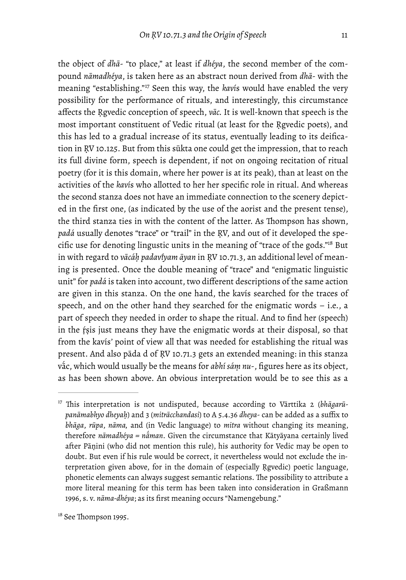<span id="page-11-3"></span>

<span id="page-11-2"></span>the object of *dhā*- "to place," at least if *dhéya*, the second member of the compound *nāmadhéya*, is taken here as an abstract noun derived from *dhā*- with the meaning "establishing."<sup>[17](#page-11-0)</sup> Seen this way, the *kavis* would have enabled the very possibility for the performance of rituals, and interestingly, this circumstance affects the Ṛgvedic conception of speech, *vāc.* It is well-known that speech is the most important constituent of Vedic ritual (at least for the Ṛgvedic poets), and this has led to a gradual increase of its status, eventually leading to its deification in ṚV 10.125. But from this sūkta one could get the impression, that to reach its full divine form, speech is dependent, if not on ongoing recitation of ritual poetry (for it is this domain, where her power is at its peak), than at least on the activities of the *kaví*s who allotted to her her specific role in ritual. And whereas the second stanza does not have an immediate connection to the scenery depicted in the first one, (as indicated by the use of the aorist and the present tense), the third stanza ties in with the content of the latter. As Thompson has shown, *padá* usually denotes "trace" or "trail" in the ṚV, and out of it developed the specific use for denoting lingustic units in the meaning of "trace of the gods." $18$  But in with regard to *vācáḥ padavıyam ̄ āyan* in ṚV 10.71.3, an additional level of meaning is presented. Once the double meaning of "trace" and "enigmatic linguistic unit" for *padá* is taken into account, two different descriptions of the same action are given in this stanza. On the one hand, the kavís searched for the traces of speech, and on the other hand they searched for the enigmatic words – i.e., a part of speech they needed in order to shape the ritual. And to find her (speech) in the ṛ́ṣis just means they have the enigmatic words at their disposal, so that from the kavís*'* point of view all that was needed for establishing the ritual was present. And also pāda d of ṚV 10.71.3 gets an extended meaning: in this stanza vā́ c, which would usually be the means for *abhí sáṃ nu*-, figures here as its object, as has been shown above. An obvious interpretation would be to see this as a

<span id="page-11-1"></span><sup>[18](#page-11-3)</sup> See Thompson 1995.

<span id="page-11-0"></span><sup>&</sup>lt;sup>[17](#page-11-2)</sup> This interpretation is not undisputed, because according to Vārttika 2 (bhāgarū*panāmabhyo dheyaḥ*) and 3 (*mitrācchandasi*) to A 5.4.36 *dheya*- can be added as a suffix to *bhāga*, *rūpa*, *nāma,* and (in Vedic language) to *mitra* without changing its meaning, therefore *nāmadhéya = nā́ man*. Given the circumstance that Kātyāyana certainly lived after Pāṇini (who did not mention this rule), his authority for Vedic may be open to doubt. But even if his rule would be correct, it nevertheless would not exclude the interpretation given above, for in the domain of (especially Ṛgvedic) poetic language, phonetic elements can always suggest semantic relations. The possibility to attribute a more literal meaning for this term has been taken into consideration in Graßmann 1996, s. v. *nāma-dhéya*; as its first meaning occurs "Namengebung."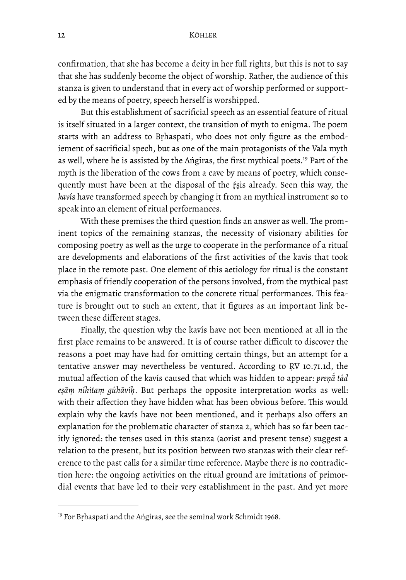confirmation, that she has become a deity in her full rights, but this is not to say that she has suddenly become the object of worship. Rather, the audience of this stanza is given to understand that in every act of worship performed or supported by the means of poetry, speech herself is worshipped.

<span id="page-12-1"></span>But this establishment of sacrificial speech as an essential feature of ritual is itself situated in a larger context, the transition of myth to enigma. The poem starts with an address to Bṛhaspati, who does not only figure as the embodiement of sacrificial spech, but as one of the main protagonists of the Vala myth as well, where he is assisted by the Aṅgiras, the first mythical poets[.](#page-12-0)<sup>[19](#page-12-0)</sup> Part of the myth is the liberation of the cows from a cave by means of poetry, which consequently must have been at the disposal of the ṛ́ṣis already. Seen this way, the *kaví*s have transformed speech by changing it from an mythical instrument so to speak into an element of ritual performances.

With these premises the third question finds an answer as well. The prominent topics of the remaining stanzas, the necessity of visionary abilities for composing poetry as well as the urge to cooperate in the performance of a ritual are developments and elaborations of the first activities of the kavís that took place in the remote past. One element of this aetiology for ritual is the constant emphasis of friendly cooperation of the persons involved, from the mythical past via the enigmatic transformation to the concrete ritual performances. This feature is brought out to such an extent, that it figures as an important link between these different stages.

Finally, the question why the kavís have not been mentioned at all in the first place remains to be answered. It is of course rather difficult to discover the reasons a poet may have had for omitting certain things, but an attempt for a tentative answer may nevertheless be ventured. According to ṚV 10.71.1d, the mutual affection of the kavís caused that which was hidden to appear: *preṇā́tád eṣāṃ níhitaṃ gúhāvíḥ*. But perhaps the opposite interpretation works as well: with their affection they have hidden what has been obvious before. This would explain why the kavís have not been mentioned, and it perhaps also offers an explanation for the problematic character of stanza 2, which has so far been tacitly ignored: the tenses used in this stanza (aorist and present tense) suggest a relation to the present, but its position between two stanzas with their clear reference to the past calls for a similar time reference. Maybe there is no contradiction here: the ongoing activities on the ritual ground are imitations of primordial events that have led to their very establishment in the past. And yet more

<span id="page-12-0"></span> $19$  For Brhaspati and the Aṅgiras, see the seminal work Schmidt 1968.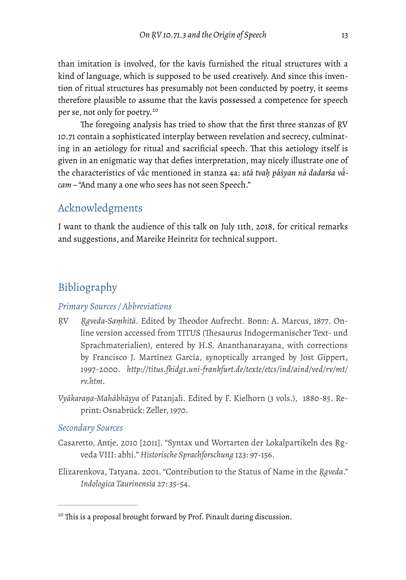than imitation is involved, for the kavís furnished the ritual structures with a kind of language, which is supposed to be used creatively. And since this invention of ritual structures has presumably not been conducted by poetry, it seems therefore plausible to assume that the kavís possessed a competence for speech per se, not only for poetry. [20](#page-13-0)

<span id="page-13-1"></span>The foregoing analysis has tried to show that the first three stanzas of RV 10.71 contain a sophisticated interplay between revelation and secrecy, culminating in an aetiology for ritual and sacrificial speech. That this aetiology itself is given in an enigmatic way that defies interpretation, may nicely illustrate one of the characteristics of vā́ c mentioned in stanza 4a: *utá tvaḥ páśyan ná dadarśa vā́ cam –* "And many a one who sees has not seen Speech."

## Acknowledgments

I want to thank the audience of this talk on July 11th, 2018, for critical remarks and suggestions, and Mareike Heinritz for technical support.

## Bibliography

#### *Primary Sources / Abbreviations*

- RV *Rgveda-Saṃhitā*. Edited by Theodor Aufrecht. Bonn: A. Marcus, 1877. Online version accessed from TITUS (Thesaurus Indogermanischer Text- und Sprachmaterialien), entered by H.S. Ananthanarayana, with corrections by Francisco J. Martínez García, synoptically arranged by Jost Gippert, 1997-2000. *http://titus.fkidg1.uni-frankfurt.de/texte/etcs/ind/aind/ved/rv/mt/ rv.htm.*
- *Vyākaraṇa-Mahābhāṣya* of Patanjali. Edited by F. Kielhorn (3 vols.), 1880-85. Reprint: Osnabrück: Zeller, 1970.

#### *Secondary Sources*

- Casaretto, Antje. 2010 [2011]. "Syntax und Wortarten der Lokalpartikeln des Ṛgveda VIII: abhí." *Historische Sprachforschung* 123: 97-156.
- Elizarenkova, Tatyana. 2001. "Contribution to the Status of Name in the *Ṛgveda*." *Indologica Taurinensia* 27: 35-54.

<span id="page-13-0"></span><sup>&</sup>lt;sup>[20](#page-13-1)</sup> This is a proposal brought forward by Prof. Pinault during discussion.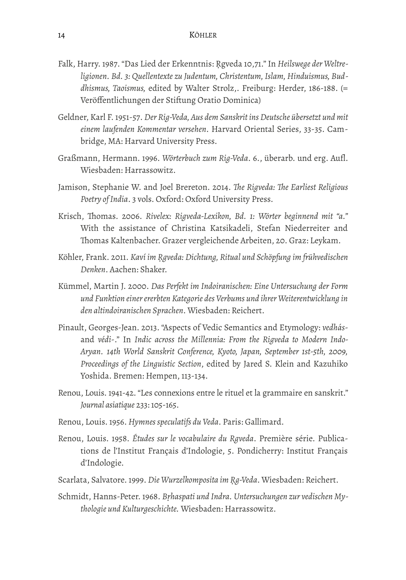- Falk, Harry. 1987. "Das Lied der Erkenntnis: Ṛgveda 10,71." In *Heilswege der Weltreligionen. Bd. 3: Quellentexte zu Judentum, Christentum, Islam, Hinduismus, Buddhismus, Taoismus,* edited by Walter Strolz,. Freiburg: Herder, 186-188. (= Veröffentlichungen der Stiftung Oratio Dominica)
- Geldner, Karl F. 1951-57. *Der Rig-Veda, Aus dem Sanskrit ins Deutsche übersetzt und mit einem laufenden Kommentar versehen*. Harvard Oriental Series, 33-35. Cambridge, MA: Harvard University Press.
- Graßmann, Hermann. 1996. *Wörterbuch zum Rig-Veda*. 6., überarb. und erg. Aufl. Wiesbaden: Harrassowitz.
- Jamison, Stephanie W. and Joel Brereton. 2014. *Te Rigveda: Te Earliest Religious Poetry of India*. 3 vols. Oxford: Oxford University Press.
- Krisch, Thomas. 2006. Rivelex: Rigveda-Lexikon, Bd. 1: Wörter beginnend mit "a." With the assistance of Christina Katsikadeli, Stefan Niederreiter and Thomas Kaltenbacher. Grazer vergleichende Arbeiten, 20. Graz: Leykam.
- Köhler, Frank. 2011. *Kaví im Ṛgveda: Dichtung, Ritual und Schöpfung im frühvedischen Denken*. Aachen: Shaker.
- Kümmel, Martin J. 2000. *Das Perfekt im Indoiranischen: Eine Untersuchung der Form und Funktion einer ererbten Kategorie des Verbums und ihrer Weiterentwicklung in den altindoiranischen Sprachen*. Wiesbaden: Reichert.
- Pinault, Georges-Jean. 2013. "Aspects of Vedic Semantics and Etymology: *vedhás*and *védi*-." In *Indic across the Millennia: From the Rigveda to Modern Indo-Aryan. 14th World Sanskrit Conference, Kyoto, Japan, September 1st-5th, 2009, Proceedings of the Linguistic Section*, edited by Jared S. Klein and Kazuhiko Yoshida. Bremen: Hempen, 113-134.
- Renou, Louis. 1941-42. "Les connexions entre le rituel et la grammaire en sanskrit." *Journal asiatique* 233: 105-165.
- Renou, Louis. 1956. *Hymnes speculatifs du Veda*. Paris: Gallimard.
- Renou, Louis. 1958. *Études sur le vocabulaire du Rgveda*. Première série. Publications de l'Institut Français d'Indologie, 5. Pondicherry: Institut Français d'Indologie.
- Scarlata, Salvatore. 1999. *Die Wurzelkomposita im Ṛg-Veda*. Wiesbaden: Reichert.
- Schmidt, Hanns-Peter. 1968. *Bṛhaspati und Indra. Untersuchungen zur vedischen Mythologie und Kulturgeschichte.* Wiesbaden: Harrassowitz.